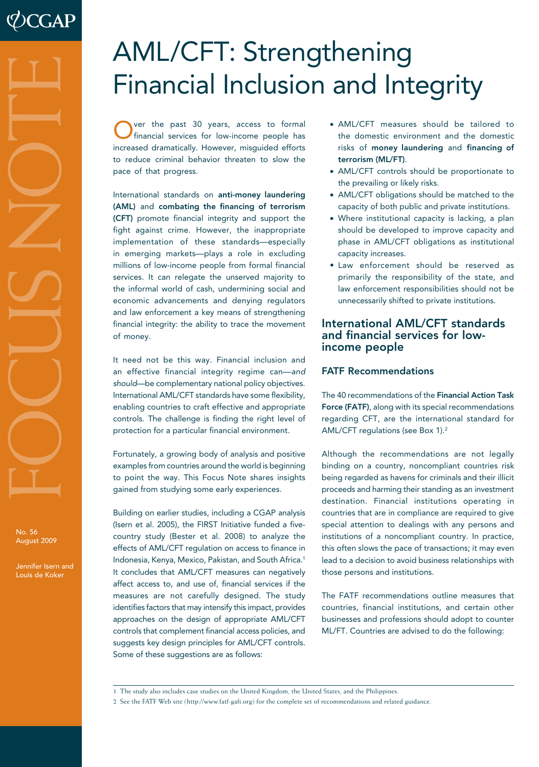# AML/CFT: Strengthening Financial Inclusion and Integrity

Over the past 30 years, access to formal financial services for low-income people has increased dramatically. However, misguided efforts to reduce criminal behavior threaten to slow the pace of that progress.

International standards on anti-money laundering (AML) and combating the financing of terrorism (CFT) promote financial integrity and support the fight against crime. However, the inappropriate implementation of these standards—especially in emerging markets—plays a role in excluding millions of low-income people from formal financial services. It can relegate the unserved majority to the informal world of cash, undermining social and economic advancements and denying regulators and law enforcement a key means of strengthening financial integrity: the ability to trace the movement of money.

It need not be this way. Financial inclusion and an effective financial integrity regime can—*and should*—be complementary national policy objectives. International AML/CFT standards have some flexibility, enabling countries to craft effective and appropriate controls. The challenge is finding the right level of protection for a particular financial environment.

Fortunately, a growing body of analysis and positive examples from countries around the world is beginning to point the way. This Focus Note shares insights gained from studying some early experiences.

Building on earlier studies, including a CGAP analysis (Isern et al. 2005), the FIRST Initiative funded a fivecountry study (Bester et al. 2008) to analyze the effects of AML/CFT regulation on access to finance in Indonesia, Kenya, Mexico, Pakistan, and South Africa.1 It concludes that AML/CFT measures can negatively affect access to, and use of, financial services if the measures are not carefully designed. The study identifies factors that may intensify this impact, provides approaches on the design of appropriate AML/CFT controls that complement financial access policies, and suggests key design principles for AML/CFT controls. Some of these suggestions are as follows:

- • AML/CFT measures should be tailored to the domestic environment and the domestic risks of money laundering and financing of terrorism (ML/FT).
- AML/CFT controls should be proportionate to the prevailing or likely risks.
- AML/CFT obligations should be matched to the capacity of both public and private institutions.
- • Where institutional capacity is lacking, a plan should be developed to improve capacity and phase in AML/CFT obligations as institutional capacity increases.
- • Law enforcement should be reserved as primarily the responsibility of the state, and law enforcement responsibilities should not be unnecessarily shifted to private institutions.

# International AML/CFT standards and financial services for lowincome people

# FATF Recommendations

The 40 recommendations of the Financial Action Task Force (FATF), along with its special recommendations regarding CFT, are the international standard for AML/CFT regulations (see Box 1).2

Although the recommendations are not legally binding on a country, noncompliant countries risk being regarded as havens for criminals and their illicit proceeds and harming their standing as an investment destination. Financial institutions operating in countries that are in compliance are required to give special attention to dealings with any persons and institutions of a noncompliant country. In practice, this often slows the pace of transactions; it may even lead to a decision to avoid business relationships with those persons and institutions.

The FATF recommendations outline measures that countries, financial institutions, and certain other businesses and professions should adopt to counter ML/FT. Countries are advised to do the following:

No. 56 August 2009 No. 56<br>Romifer Isen a<br>Louis de Koker

Jennifer Isern and<br>Louis de Koker

<sup>1</sup> The study also includes case studies on the United Kingdom, the United States, and the Philippines.

<sup>2</sup> See the FATF Web site (http://www.fatf-gafi.org) for the complete set of recommendations and related guidance.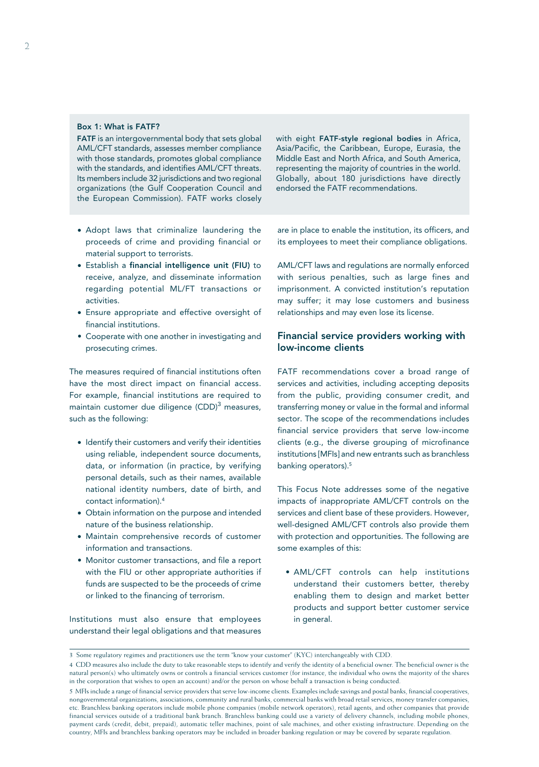#### Box 1: What is FATF?

FATF is an intergovernmental body that sets global AML/CFT standards, assesses member compliance with those standards, promotes global compliance with the standards, and identifies AML/CFT threats. Its members include 32 jurisdictions and two regional organizations (the Gulf Cooperation Council and the European Commission). FATF works closely

- • Adopt laws that criminalize laundering the proceeds of crime and providing financial or material support to terrorists.
- Establish a financial intelligence unit (FIU) to receive, analyze, and disseminate information regarding potential ML/FT transactions or activities.
- • Ensure appropriate and effective oversight of financial institutions.
- Cooperate with one another in investigating and prosecuting crimes.

The measures required of financial institutions often have the most direct impact on financial access. For example, financial institutions are required to maintain customer due diligence  $(CDD)^3$  measures, such as the following:

- Identify their customers and verify their identities using reliable, independent source documents, data, or information (in practice, by verifying personal details, such as their names, available national identity numbers, date of birth, and contact information).4
- Obtain information on the purpose and intended nature of the business relationship.
- • Maintain comprehensive records of customer information and transactions.
- Monitor customer transactions, and file a report with the FIU or other appropriate authorities if funds are suspected to be the proceeds of crime or linked to the financing of terrorism.

Institutions must also ensure that employees understand their legal obligations and that measures

with eight FATF-style regional bodies in Africa, Asia/Pacific, the Caribbean, Europe, Eurasia, the Middle East and North Africa, and South America, representing the majority of countries in the world. Globally, about 180 jurisdictions have directly endorsed the FATF recommendations.

are in place to enable the institution, its officers, and its employees to meet their compliance obligations.

AML/CFT laws and regulations are normally enforced with serious penalties, such as large fines and imprisonment. A convicted institution's reputation may suffer; it may lose customers and business relationships and may even lose its license.

# Financial service providers working with low-income clients

FATF recommendations cover a broad range of services and activities, including accepting deposits from the public, providing consumer credit, and transferring money or value in the formal and informal sector. The scope of the recommendations includes financial service providers that serve low-income clients (e.g., the diverse grouping of microfinance institutions [MFIs] and new entrants such as branchless banking operators).<sup>5</sup>

This Focus Note addresses some of the negative impacts of inappropriate AML/CFT controls on the services and client base of these providers. However, well-designed AML/CFT controls also provide them with protection and opportunities. The following are some examples of this:

• AML/CFT controls can help institutions understand their customers better, thereby enabling them to design and market better products and support better customer service in general.

<sup>3</sup> Some regulatory regimes and practitioners use the term "know your customer" (KYC) interchangeably with CDD.

<sup>4</sup> CDD measures also include the duty to take reasonable steps to identify and verify the identity of a beneficial owner. The beneficial owner is the natural person(s) who ultimately owns or controls a financial services customer (for instance, the individual who owns the majority of the shares in the corporation that wishes to open an account) and/or the person on whose behalf a transaction is being conducted.

<sup>5</sup> MFIs include a range of financial service providers that serve low-income clients. Examples include savings and postal banks, financial cooperatives, nongovernmental organizations, associations, community and rural banks, commercial banks with broad retail services, money transfer companies, etc. Branchless banking operators include mobile phone companies (mobile network operators), retail agents, and other companies that provide financial services outside of a traditional bank branch. Branchless banking could use a variety of delivery channels, including mobile phones, payment cards (credit, debit, prepaid), automatic teller machines, point of sale machines, and other existing infrastructure. Depending on the country, MFIs and branchless banking operators may be included in broader banking regulation or may be covered by separate regulation.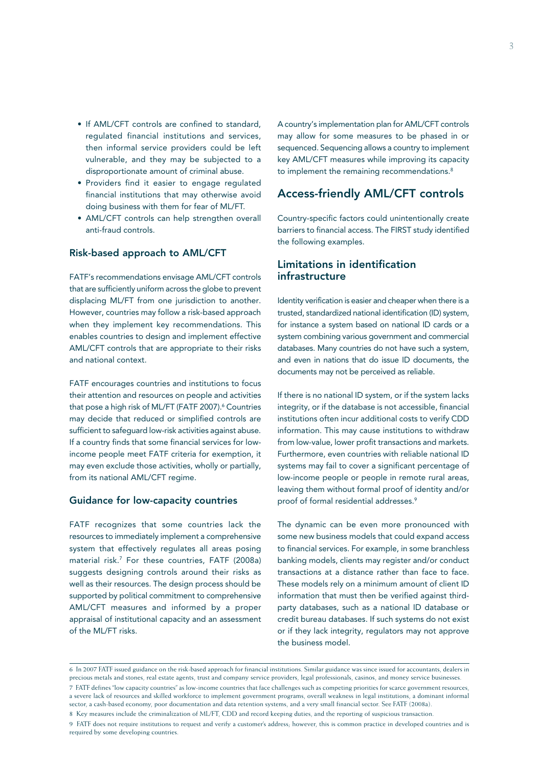- If AML/CFT controls are confined to standard, regulated financial institutions and services, then informal service providers could be left vulnerable, and they may be subjected to a disproportionate amount of criminal abuse.
- • Providers find it easier to engage regulated financial institutions that may otherwise avoid doing business with them for fear of ML/FT.
- AML/CFT controls can help strengthen overall anti-fraud controls.

#### Risk-based approach to AML/CFT

FATF's recommendations envisage AML/CFT controls that are sufficiently uniform across the globe to prevent displacing ML/FT from one jurisdiction to another. However, countries may follow a risk-based approach when they implement key recommendations. This enables countries to design and implement effective AML/CFT controls that are appropriate to their risks and national context.

FATF encourages countries and institutions to focus their attention and resources on people and activities that pose a high risk of ML/FT (FATF 2007).<sup>6</sup> Countries may decide that reduced or simplified controls are sufficient to safeguard low-risk activities against abuse. If a country finds that some financial services for lowincome people meet FATF criteria for exemption, it may even exclude those activities, wholly or partially, from its national AML/CFT regime.

#### Guidance for low-capacity countries

FATF recognizes that some countries lack the resources to immediately implement a comprehensive system that effectively regulates all areas posing material risk.7 For these countries, FATF (2008a) suggests designing controls around their risks as well as their resources. The design process should be supported by political commitment to comprehensive AML/CFT measures and informed by a proper appraisal of institutional capacity and an assessment of the ML/FT risks.

A country's implementation plan for AML/CFT controls may allow for some measures to be phased in or sequenced. Sequencing allows a country to implement key AML/CFT measures while improving its capacity to implement the remaining recommendations.<sup>8</sup>

# Access-friendly AML/CFT controls

Country-specific factors could unintentionally create barriers to financial access. The FIRST study identified the following examples.

# Limitations in identification infrastructure

Identity verification is easier and cheaper when there is a trusted, standardized national identification (ID) system, for instance a system based on national ID cards or a system combining various government and commercial databases. Many countries do not have such a system, and even in nations that do issue ID documents, the documents may not be perceived as reliable.

If there is no national ID system, or if the system lacks integrity, or if the database is not accessible, financial institutions often incur additional costs to verify CDD information. This may cause institutions to withdraw from low-value, lower profit transactions and markets. Furthermore, even countries with reliable national ID systems may fail to cover a significant percentage of low-income people or people in remote rural areas, leaving them without formal proof of identity and/or proof of formal residential addresses.<sup>9</sup>

The dynamic can be even more pronounced with some new business models that could expand access to financial services. For example, in some branchless banking models, clients may register and/or conduct transactions at a distance rather than face to face. These models rely on a minimum amount of client ID information that must then be verified against thirdparty databases, such as a national ID database or credit bureau databases. If such systems do not exist or if they lack integrity, regulators may not approve the business model.

<sup>6</sup> In 2007 FATF issued guidance on the risk-based approach for financial institutions. Similar guidance was since issued for accountants, dealers in precious metals and stones, real estate agents, trust and company service providers, legal professionals, casinos, and money service businesses.

<sup>7</sup> FATF defines "low capacity countries" as low-income countries that face challenges such as competing priorities for scarce government resources, a severe lack of resources and skilled workforce to implement government programs, overall weakness in legal institutions, a dominant informal sector, a cash-based economy, poor documentation and data retention systems, and a very small financial sector. See FATF (2008a). 8 Key measures include the criminalization of ML/FT, CDD and record keeping duties, and the reporting of suspicious transaction.

<sup>9</sup> FATF does not require institutions to request and verify a customer's address; however, this is common practice in developed countries and is required by some developing countries.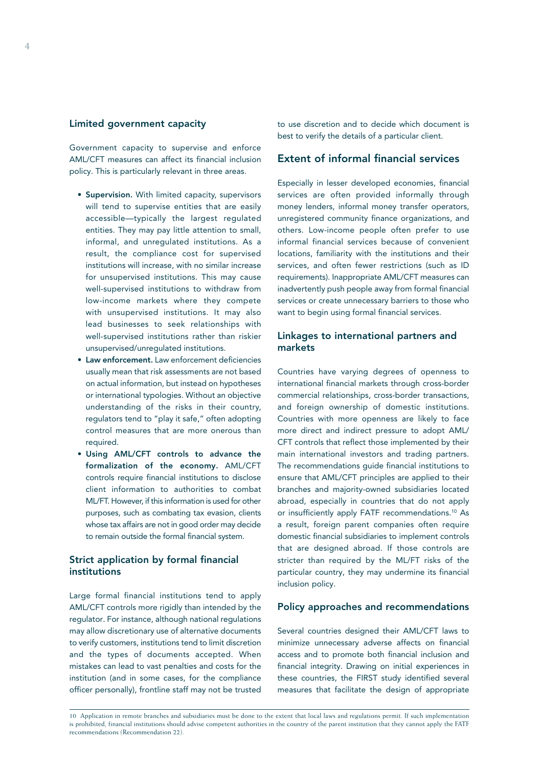#### Limited government capacity

Government capacity to supervise and enforce AML/CFT measures can affect its financial inclusion policy. This is particularly relevant in three areas.

- Supervision. With limited capacity, supervisors will tend to supervise entities that are easily accessible—typically the largest regulated entities. They may pay little attention to small, informal, and unregulated institutions. As a result, the compliance cost for supervised institutions will increase, with no similar increase for unsupervised institutions. This may cause well-supervised institutions to withdraw from low-income markets where they compete with unsupervised institutions. It may also lead businesses to seek relationships with well-supervised institutions rather than riskier unsupervised/unregulated institutions.
- Law enforcement. Law enforcement deficiencies usually mean that risk assessments are not based on actual information, but instead on hypotheses or international typologies. Without an objective understanding of the risks in their country, regulators tend to "play it safe," often adopting control measures that are more onerous than required.
- • Using AML/CFT controls to advance the formalization of the economy. AML/CFT controls require financial institutions to disclose client information to authorities to combat ML/FT. However, if this information is used for other purposes, such as combating tax evasion, clients whose tax affairs are not in good order may decide to remain outside the formal financial system.

# Strict application by formal financial institutions

Large formal financial institutions tend to apply AML/CFT controls more rigidly than intended by the regulator. For instance, although national regulations may allow discretionary use of alternative documents to verify customers, institutions tend to limit discretion and the types of documents accepted. When mistakes can lead to vast penalties and costs for the institution (and in some cases, for the compliance officer personally), frontline staff may not be trusted

to use discretion and to decide which document is best to verify the details of a particular client.

## Extent of informal financial services

Especially in lesser developed economies, financial services are often provided informally through money lenders, informal money transfer operators, unregistered community finance organizations, and others. Low-income people often prefer to use informal financial services because of convenient locations, familiarity with the institutions and their services, and often fewer restrictions (such as ID requirements). Inappropriate AML/CFT measures can inadvertently push people away from formal financial services or create unnecessary barriers to those who want to begin using formal financial services.

# Linkages to international partners and markets

Countries have varying degrees of openness to international financial markets through cross-border commercial relationships, cross-border transactions, and foreign ownership of domestic institutions. Countries with more openness are likely to face more direct and indirect pressure to adopt AML/ CFT controls that reflect those implemented by their main international investors and trading partners. The recommendations guide financial institutions to ensure that AML/CFT principles are applied to their branches and majority-owned subsidiaries located abroad, especially in countries that do not apply or insufficiently apply FATF recommendations.10 As a result, foreign parent companies often require domestic financial subsidiaries to implement controls that are designed abroad. If those controls are stricter than required by the ML/FT risks of the particular country, they may undermine its financial inclusion policy.

#### Policy approaches and recommendations

Several countries designed their AML/CFT laws to minimize unnecessary adverse affects on financial access and to promote both financial inclusion and financial integrity. Drawing on initial experiences in these countries, the FIRST study identified several measures that facilitate the design of appropriate

<sup>10</sup> Application in remote branches and subsidiaries must be done to the extent that local laws and regulations permit. If such implementation is prohibited, financial institutions should advise competent authorities in the country of the parent institution that they cannot apply the FATF recommendations (Recommendation 22).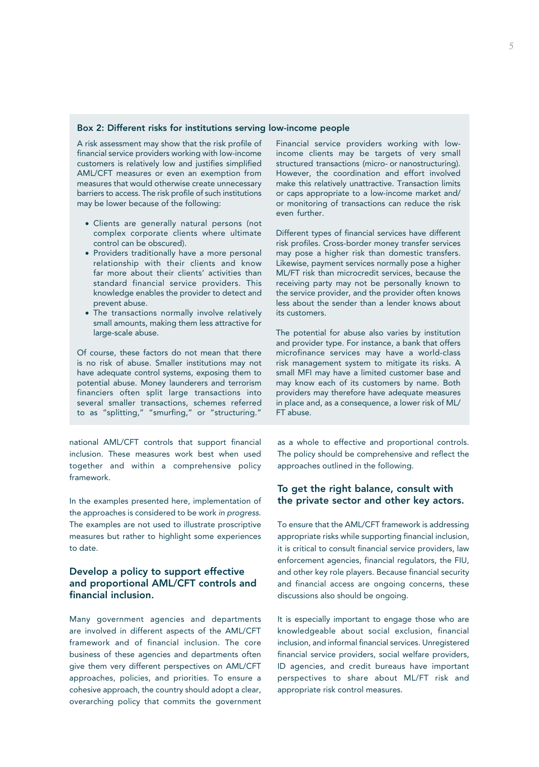#### Box 2: Different risks for institutions serving low-income people

A risk assessment may show that the risk profile of financial service providers working with low-income customers is relatively low and justifies simplified AML/CFT measures or even an exemption from measures that would otherwise create unnecessary barriers to access. The risk profile of such institutions may be lower because of the following:

- • Clients are generally natural persons (not complex corporate clients where ultimate control can be obscured).
- Providers traditionally have a more personal relationship with their clients and know far more about their clients' activities than standard financial service providers. This knowledge enables the provider to detect and prevent abuse.
- The transactions normally involve relatively small amounts, making them less attractive for large-scale abuse.

Of course, these factors do not mean that there is no risk of abuse. Smaller institutions may not have adequate control systems, exposing them to potential abuse. Money launderers and terrorism financiers often split large transactions into several smaller transactions, schemes referred to as "splitting," "smurfing," or "structuring."

national AML/CFT controls that support financial inclusion. These measures work best when used together and within a comprehensive policy framework.

In the examples presented here, implementation of the approaches is considered to be work *in progress*. The examples are not used to illustrate proscriptive measures but rather to highlight some experiences to date.

# Develop a policy to support effective and proportional AML/CFT controls and financial inclusion.

Many government agencies and departments are involved in different aspects of the AML/CFT framework and of financial inclusion. The core business of these agencies and departments often give them very different perspectives on AML/CFT approaches, policies, and priorities. To ensure a cohesive approach, the country should adopt a clear, overarching policy that commits the government Financial service providers working with lowincome clients may be targets of very small structured transactions (micro- or nanostructuring). However, the coordination and effort involved make this relatively unattractive. Transaction limits or caps appropriate to a low-income market and/ or monitoring of transactions can reduce the risk even further.

Different types of financial services have different risk profiles. Cross-border money transfer services may pose a higher risk than domestic transfers. Likewise, payment services normally pose a higher ML/FT risk than microcredit services, because the receiving party may not be personally known to the service provider, and the provider often knows less about the sender than a lender knows about its customers.

The potential for abuse also varies by institution and provider type. For instance, a bank that offers microfinance services may have a world-class risk management system to mitigate its risks. A small MFI may have a limited customer base and may know each of its customers by name. Both providers may therefore have adequate measures in place and, as a consequence, a lower risk of ML/ FT abuse.

as a whole to effective and proportional controls. The policy should be comprehensive and reflect the approaches outlined in the following.

## To get the right balance, consult with the private sector and other key actors.

To ensure that the AML/CFT framework is addressing appropriate risks while supporting financial inclusion, it is critical to consult financial service providers, law enforcement agencies, financial regulators, the FIU, and other key role players. Because financial security and financial access are ongoing concerns, these discussions also should be ongoing.

It is especially important to engage those who are knowledgeable about social exclusion, financial inclusion, and informal financial services. Unregistered financial service providers, social welfare providers, ID agencies, and credit bureaus have important perspectives to share about ML/FT risk and appropriate risk control measures.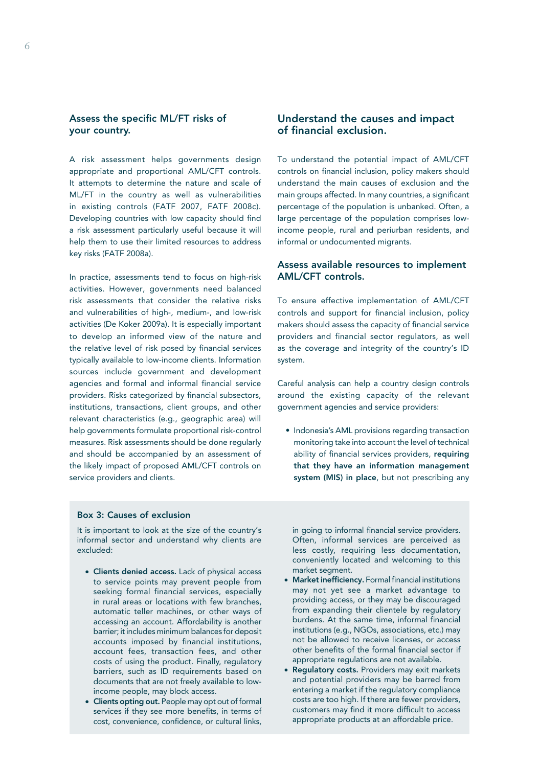# Assess the specific ML/FT risks of your country.

A risk assessment helps governments design appropriate and proportional AML/CFT controls. It attempts to determine the nature and scale of ML/FT in the country as well as vulnerabilities in existing controls (FATF 2007, FATF 2008c). Developing countries with low capacity should find a risk assessment particularly useful because it will help them to use their limited resources to address key risks (FATF 2008a).

In practice, assessments tend to focus on high-risk activities. However, governments need balanced risk assessments that consider the relative risks and vulnerabilities of high-, medium-, and low-risk activities (De Koker 2009a). It is especially important to develop an informed view of the nature and the relative level of risk posed by financial services typically available to low-income clients. Information sources include government and development agencies and formal and informal financial service providers. Risks categorized by financial subsectors, institutions, transactions, client groups, and other relevant characteristics (e.g., geographic area) will help governments formulate proportional risk-control measures. Risk assessments should be done regularly and should be accompanied by an assessment of the likely impact of proposed AML/CFT controls on service providers and clients.

# Understand the causes and impact of financial exclusion.

To understand the potential impact of AML/CFT controls on financial inclusion, policy makers should understand the main causes of exclusion and the main groups affected. In many countries, a significant percentage of the population is unbanked. Often, a large percentage of the population comprises lowincome people, rural and periurban residents, and informal or undocumented migrants.

## Assess available resources to implement AML/CFT controls.

To ensure effective implementation of AML/CFT controls and support for financial inclusion, policy makers should assess the capacity of financial service providers and financial sector regulators, as well as the coverage and integrity of the country's ID system.

Careful analysis can help a country design controls around the existing capacity of the relevant government agencies and service providers:

• Indonesia's AML provisions regarding transaction monitoring take into account the level of technical ability of financial services providers, requiring that they have an information management system (MIS) in place, but not prescribing any

#### Box 3: Causes of exclusion

It is important to look at the size of the country's informal sector and understand why clients are excluded:

- Clients denied access. Lack of physical access to service points may prevent people from seeking formal financial services, especially in rural areas or locations with few branches, automatic teller machines, or other ways of accessing an account. Affordability is another barrier; it includes minimum balances for deposit accounts imposed by financial institutions, account fees, transaction fees, and other costs of using the product. Finally, regulatory barriers, such as ID requirements based on documents that are not freely available to lowincome people, may block access.
- Clients opting out. People may opt out of formal services if they see more benefits, in terms of cost, convenience, confidence, or cultural links,

in going to informal financial service providers. Often, informal services are perceived as less costly, requiring less documentation, conveniently located and welcoming to this market segment.

- Market inefficiency. Formal financial institutions may not yet see a market advantage to providing access, or they may be discouraged from expanding their clientele by regulatory burdens. At the same time, informal financial institutions (e.g., NGOs, associations, etc.) may not be allowed to receive licenses, or access other benefits of the formal financial sector if appropriate regulations are not available.
- Regulatory costs. Providers may exit markets and potential providers may be barred from entering a market if the regulatory compliance costs are too high. If there are fewer providers, customers may find it more difficult to access appropriate products at an affordable price.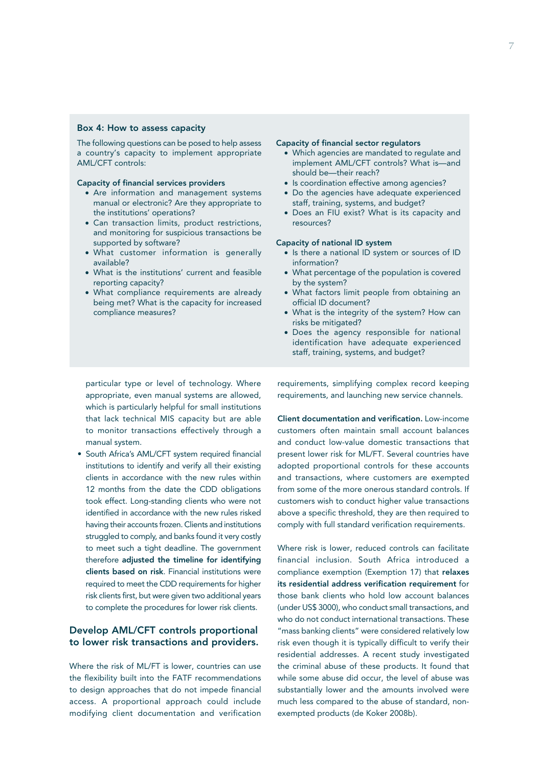#### Box 4: How to assess capacity

The following questions can be posed to help assess a country's capacity to implement appropriate AML/CFT controls:

#### Capacity of financial services providers

- Are information and management systems manual or electronic? Are they appropriate to the institutions' operations?
- • Can transaction limits, product restrictions, and monitoring for suspicious transactions be supported by software?
- • What customer information is generally available?
- • What is the institutions' current and feasible reporting capacity?
- What compliance requirements are already being met? What is the capacity for increased compliance measures?

#### Capacity of financial sector regulators

- • Which agencies are mandated to regulate and implement AML/CFT controls? What is—and should be—their reach?
- Is coordination effective among agencies?
- Do the agencies have adequate experienced staff, training, systems, and budget?
- • Does an FIU exist? What is its capacity and resources?

#### Capacity of national ID system

- Is there a national ID system or sources of ID information?
- What percentage of the population is covered by the system?
- What factors limit people from obtaining an official ID document?
- • What is the integrity of the system? How can risks be mitigated?
- Does the agency responsible for national identification have adequate experienced staff, training, systems, and budget?

particular type or level of technology. Where appropriate, even manual systems are allowed, which is particularly helpful for small institutions that lack technical MIS capacity but are able to monitor transactions effectively through a manual system.

• South Africa's AML/CFT system required financial institutions to identify and verify all their existing clients in accordance with the new rules within 12 months from the date the CDD obligations took effect. Long-standing clients who were not identified in accordance with the new rules risked having their accounts frozen. Clients and institutions struggled to comply, and banks found it very costly to meet such a tight deadline. The government therefore adjusted the timeline for identifying clients based on risk. Financial institutions were required to meet the CDD requirements for higher risk clients first, but were given two additional years to complete the procedures for lower risk clients.

# Develop AML/CFT controls proportional to lower risk transactions and providers.

Where the risk of ML/FT is lower, countries can use the flexibility built into the FATF recommendations to design approaches that do not impede financial access. A proportional approach could include modifying client documentation and verification

requirements, simplifying complex record keeping requirements, and launching new service channels.

Client documentation and verification. Low-income customers often maintain small account balances and conduct low-value domestic transactions that present lower risk for ML/FT. Several countries have adopted proportional controls for these accounts and transactions, where customers are exempted from some of the more onerous standard controls. If customers wish to conduct higher value transactions above a specific threshold, they are then required to comply with full standard verification requirements.

Where risk is lower, reduced controls can facilitate financial inclusion. South Africa introduced a compliance exemption (Exemption 17) that relaxes its residential address verification requirement for those bank clients who hold low account balances (under US\$ 3000), who conduct small transactions, and who do not conduct international transactions. These "mass banking clients" were considered relatively low risk even though it is typically difficult to verify their residential addresses. A recent study investigated the criminal abuse of these products. It found that while some abuse did occur, the level of abuse was substantially lower and the amounts involved were much less compared to the abuse of standard, nonexempted products (de Koker 2008b).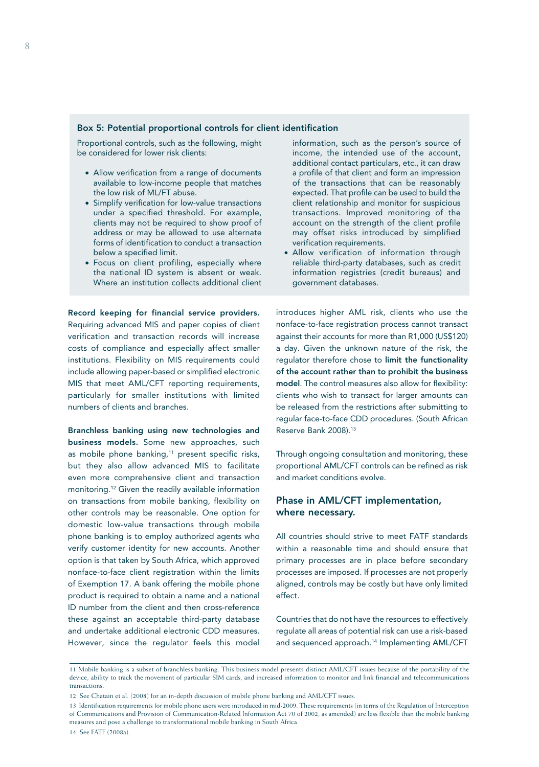#### Box 5: Potential proportional controls for client identification

Proportional controls, such as the following, might be considered for lower risk clients:

- Allow verification from a range of documents available to low-income people that matches the low risk of ML/FT abuse.
- Simplify verification for low-value transactions under a specified threshold. For example, clients may not be required to show proof of address or may be allowed to use alternate forms of identification to conduct a transaction below a specified limit.
- Focus on client profiling, especially where the national ID system is absent or weak. Where an institution collects additional client

Record keeping for financial service providers. Requiring advanced MIS and paper copies of client verification and transaction records will increase costs of compliance and especially affect smaller institutions. Flexibility on MIS requirements could include allowing paper-based or simplified electronic MIS that meet AML/CFT reporting requirements, particularly for smaller institutions with limited numbers of clients and branches.

Branchless banking using new technologies and business models. Some new approaches, such as mobile phone banking,<sup>11</sup> present specific risks, but they also allow advanced MIS to facilitate even more comprehensive client and transaction monitoring.12 Given the readily available information on transactions from mobile banking, flexibility on other controls may be reasonable. One option for domestic low-value transactions through mobile phone banking is to employ authorized agents who verify customer identity for new accounts. Another option is that taken by South Africa, which approved nonface-to-face client registration within the limits of Exemption 17. A bank offering the mobile phone product is required to obtain a name and a national ID number from the client and then cross-reference these against an acceptable third-party database and undertake additional electronic CDD measures. However, since the regulator feels this model

information, such as the person's source of income, the intended use of the account, additional contact particulars, etc., it can draw a profile of that client and form an impression of the transactions that can be reasonably expected. That profile can be used to build the client relationship and monitor for suspicious transactions. Improved monitoring of the account on the strength of the client profile may offset risks introduced by simplified verification requirements.

• Allow verification of information through reliable third-party databases, such as credit information registries (credit bureaus) and government databases.

introduces higher AML risk, clients who use the nonface-to-face registration process cannot transact against their accounts for more than R1,000 (US\$120) a day. Given the unknown nature of the risk, the regulator therefore chose to limit the functionality of the account rather than to prohibit the business model. The control measures also allow for flexibility: clients who wish to transact for larger amounts can be released from the restrictions after submitting to regular face-to-face CDD procedures. (South African Reserve Bank 2008).13

Through ongoing consultation and monitoring, these proportional AML/CFT controls can be refined as risk and market conditions evolve.

# Phase in AML/CFT implementation, where necessary.

All countries should strive to meet FATF standards within a reasonable time and should ensure that primary processes are in place before secondary processes are imposed. If processes are not properly aligned, controls may be costly but have only limited effect.

Countries that do not have the resources to effectively regulate all areas of potential risk can use a risk-based and sequenced approach.14 Implementing AML/CFT

<sup>11</sup> Mobile banking is a subset of branchless banking. This business model presents distinct AML/CFT issues because of the portability of the device, ability to track the movement of particular SIM cards, and increased information to monitor and link financial and telecommunications transactions.

<sup>12</sup> See Chatain et al. (2008) for an in-depth discussion of mobile phone banking and AML/CFT issues.

<sup>13</sup> Identification requirements for mobile phone users were introduced in mid-2009. These requirements (in terms of the Regulation of Interception of Communications and Provision of Communication-Related Information Act 70 of 2002, as amended) are less flexible than the mobile banking measures and pose a challenge to transformational mobile banking in South Africa.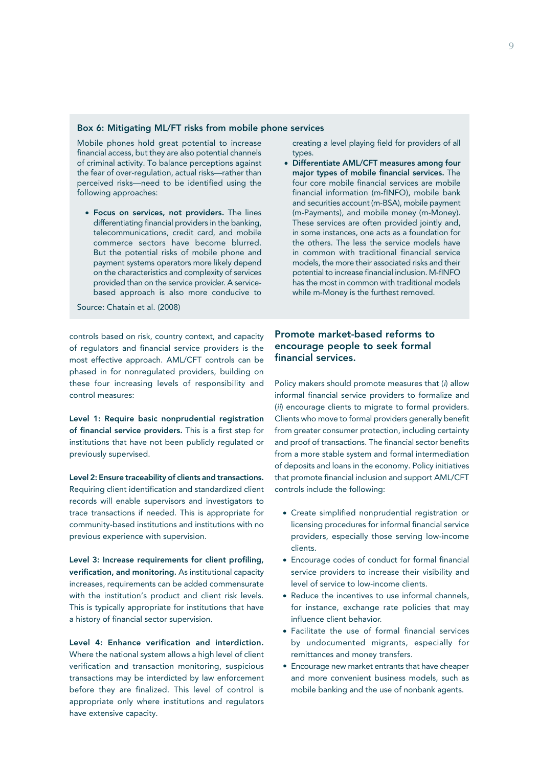#### Box 6: Mitigating ML/FT risks from mobile phone services

Mobile phones hold great potential to increase financial access, but they are also potential channels of criminal activity. To balance perceptions against the fear of over-regulation, actual risks—rather than perceived risks—need to be identified using the following approaches:

• Focus on services, not providers. The lines differentiating financial providers in the banking, telecommunications, credit card, and mobile commerce sectors have become blurred. But the potential risks of mobile phone and payment systems operators more likely depend on the characteristics and complexity of services provided than on the service provider. A servicebased approach is also more conducive to

Source: Chatain et al. (2008)

controls based on risk, country context, and capacity of regulators and financial service providers is the most effective approach. AML/CFT controls can be phased in for nonregulated providers, building on these four increasing levels of responsibility and control measures:

Level 1: Require basic nonprudential registration of financial service providers. This is a first step for institutions that have not been publicly regulated or previously supervised.

Level 2: Ensure traceability of clients and transactions. Requiring client identification and standardized client records will enable supervisors and investigators to trace transactions if needed. This is appropriate for community-based institutions and institutions with no previous experience with supervision.

Level 3: Increase requirements for client profiling, verification, and monitoring. As institutional capacity increases, requirements can be added commensurate with the institution's product and client risk levels. This is typically appropriate for institutions that have a history of financial sector supervision.

Level 4: Enhance verification and interdiction. Where the national system allows a high level of client verification and transaction monitoring, suspicious transactions may be interdicted by law enforcement before they are finalized. This level of control is appropriate only where institutions and regulators have extensive capacity.

creating a level playing field for providers of all types.

Differentiate AML/CFT measures among four major types of mobile financial services. The four core mobile financial services are mobile financial information (m-fINFO), mobile bank and securities account (m-BSA), mobile payment (m-Payments), and mobile money (m-Money). These services are often provided jointly and, in some instances, one acts as a foundation for the others. The less the service models have in common with traditional financial service models, the more their associated risks and their potential to increase financial inclusion. M-fINFO has the most in common with traditional models while m-Money is the furthest removed.

## Promote market-based reforms to encourage people to seek formal financial services.

Policy makers should promote measures that (*i*) allow informal financial service providers to formalize and (*ii*) encourage clients to migrate to formal providers. Clients who move to formal providers generally benefit from greater consumer protection, including certainty and proof of transactions. The financial sector benefits from a more stable system and formal intermediation of deposits and loans in the economy. Policy initiatives that promote financial inclusion and support AML/CFT controls include the following:

- • Create simplified nonprudential registration or licensing procedures for informal financial service providers, especially those serving low-income clients.
- Encourage codes of conduct for formal financial service providers to increase their visibility and level of service to low-income clients.
- Reduce the incentives to use informal channels, for instance, exchange rate policies that may influence client behavior.
- • Facilitate the use of formal financial services by undocumented migrants, especially for remittances and money transfers.
- **•** Encourage new market entrants that have cheaper and more convenient business models, such as mobile banking and the use of nonbank agents.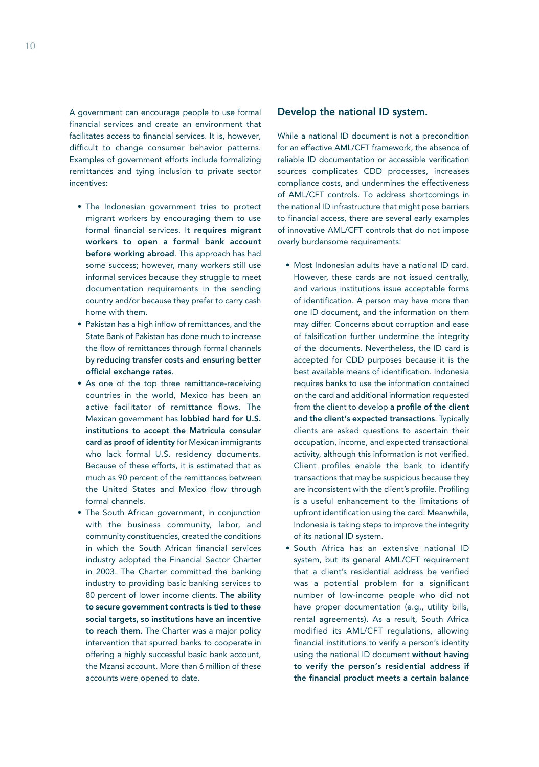A government can encourage people to use formal financial services and create an environment that facilitates access to financial services. It is, however, difficult to change consumer behavior patterns. Examples of government efforts include formalizing remittances and tying inclusion to private sector incentives:

- The Indonesian government tries to protect migrant workers by encouraging them to use formal financial services. It requires migrant workers to open a formal bank account before working abroad. This approach has had some success; however, many workers still use informal services because they struggle to meet documentation requirements in the sending country and/or because they prefer to carry cash home with them.
- Pakistan has a high inflow of remittances, and the State Bank of Pakistan has done much to increase the flow of remittances through formal channels by reducing transfer costs and ensuring better official exchange rates.
- As one of the top three remittance-receiving countries in the world, Mexico has been an active facilitator of remittance flows. The Mexican government has **lobbied hard for U.S.** institutions to accept the Matricula consular card as proof of identity for Mexican immigrants who lack formal U.S. residency documents. Because of these efforts, it is estimated that as much as 90 percent of the remittances between the United States and Mexico flow through formal channels.
- The South African government, in conjunction with the business community, labor, and community constituencies, created the conditions in which the South African financial services industry adopted the Financial Sector Charter in 2003. The Charter committed the banking industry to providing basic banking services to 80 percent of lower income clients. The ability to secure government contracts is tied to these social targets, so institutions have an incentive to reach them. The Charter was a major policy intervention that spurred banks to cooperate in offering a highly successful basic bank account, the Mzansi account. More than 6 million of these accounts were opened to date.

#### Develop the national ID system.

While a national ID document is not a precondition for an effective AML/CFT framework, the absence of reliable ID documentation or accessible verification sources complicates CDD processes, increases compliance costs, and undermines the effectiveness of AML/CFT controls. To address shortcomings in the national ID infrastructure that might pose barriers to financial access, there are several early examples of innovative AML/CFT controls that do not impose overly burdensome requirements:

- Most Indonesian adults have a national ID card. However, these cards are not issued centrally, and various institutions issue acceptable forms of identification. A person may have more than one ID document, and the information on them may differ. Concerns about corruption and ease of falsification further undermine the integrity of the documents. Nevertheless, the ID card is accepted for CDD purposes because it is the best available means of identification. Indonesia requires banks to use the information contained on the card and additional information requested from the client to develop a profile of the client and the client's expected transactions. Typically clients are asked questions to ascertain their occupation, income, and expected transactional activity, although this information is not verified. Client profiles enable the bank to identify transactions that may be suspicious because they are inconsistent with the client's profile. Profiling is a useful enhancement to the limitations of upfront identification using the card. Meanwhile, Indonesia is taking steps to improve the integrity of its national ID system.
- • South Africa has an extensive national ID system, but its general AML/CFT requirement that a client's residential address be verified was a potential problem for a significant number of low-income people who did not have proper documentation (e.g., utility bills, rental agreements). As a result, South Africa modified its AML/CFT regulations, allowing financial institutions to verify a person's identity using the national ID document without having to verify the person's residential address if the financial product meets a certain balance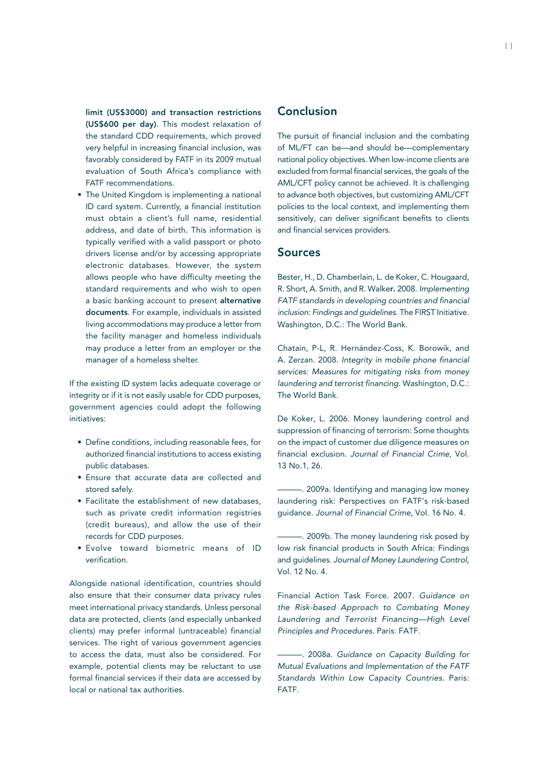limit (US\$3000) and transaction restrictions (US\$600 per day). This modest relaxation of the standard CDD requirements, which proved very helpful in increasing financial inclusion, was favorably considered by FATF in its 2009 mutual evaluation of South Africa's compliance with FATF recommendations.

• The United Kingdom is implementing a national ID card system. Currently, a financial institution must obtain a client's full name, residential address, and date of birth. This information is typically verified with a valid passport or photo drivers license and/or by accessing appropriate electronic databases. However, the system allows people who have difficulty meeting the standard requirements and who wish to open a basic banking account to present alternative documents. For example, individuals in assisted living accommodations may produce a letter from the facility manager and homeless individuals may produce a letter from an employer or the manager of a homeless shelter.

If the existing ID system lacks adequate coverage or integrity or if it is not easily usable for CDD purposes, government agencies could adopt the following initiatives:

- • Define conditions, including reasonable fees, for authorized financial institutions to access existing public databases.
- • Ensure that accurate data are collected and stored safely.
- Facilitate the establishment of new databases, such as private credit information registries (credit bureaus), and allow the use of their records for CDD purposes.
- • Evolve toward biometric means of ID verification.

Alongside national identification, countries should also ensure that their consumer data privacy rules meet international privacy standards. Unless personal data are protected, clients (and especially unbanked clients) may prefer informal (untraceable) financial services. The right of various government agencies to access the data, must also be considered. For example, potential clients may be reluctant to use formal financial services if their data are accessed by local or national tax authorities.

# Conclusion

The pursuit of financial inclusion and the combating of ML/FT can be—and should be—complementary national policy objectives. When low-income clients are excluded from formal financial services, the goals of the AML/CFT policy cannot be achieved. It is challenging to advance both objectives, but customizing AML/CFT policies to the local context, and implementing them sensitively, can deliver significant benefits to clients and financial services providers.

# Sources

Bester, H., D. Chamberlain, L. de Koker, C. Hougaard, R. Short, A. Smith, and R. Walker. 2008. *Implementing FATF standards in developing countries and financial inclusion: Findings and guidelines.* The FIRST Initiative. Washington, D.C.: The World Bank.

Chatain, P-L, R. Hernández-Coss, K. Borowik, and A. Zerzan. 2008. *Integrity in mobile phone financial services: Measures for mitigating risks from money laundering and terrorist financing.* Washington, D.C.: The World Bank.

De Koker, L. 2006. Money laundering control and suppression of financing of terrorism: Some thoughts on the impact of customer due diligence measures on financial exclusion. *Journal of Financial Crime,* Vol. 13 No.1, 26.

-. 2009a. Identifying and managing low money laundering risk: Perspectives on FATF's risk-based guidance. *Journal of Financial Crime,* Vol. 16 No. 4.

-. 2009b. The money laundering risk posed by low risk financial products in South Africa: Findings and guidelines. *Journal of Money Laundering Control*, Vol. 12 No. 4.

Financial Action Task Force. 2007. *Guidance on the Risk-based Approach to Combating Money Laundering and Terrorist Financing—High Level Principles and Procedures*. Paris: FATF.

———. 2008a. *Guidance on Capacity Building for Mutual Evaluations and Implementation of the FATF Standards Within Low Capacity Countries.* Paris: FATF.